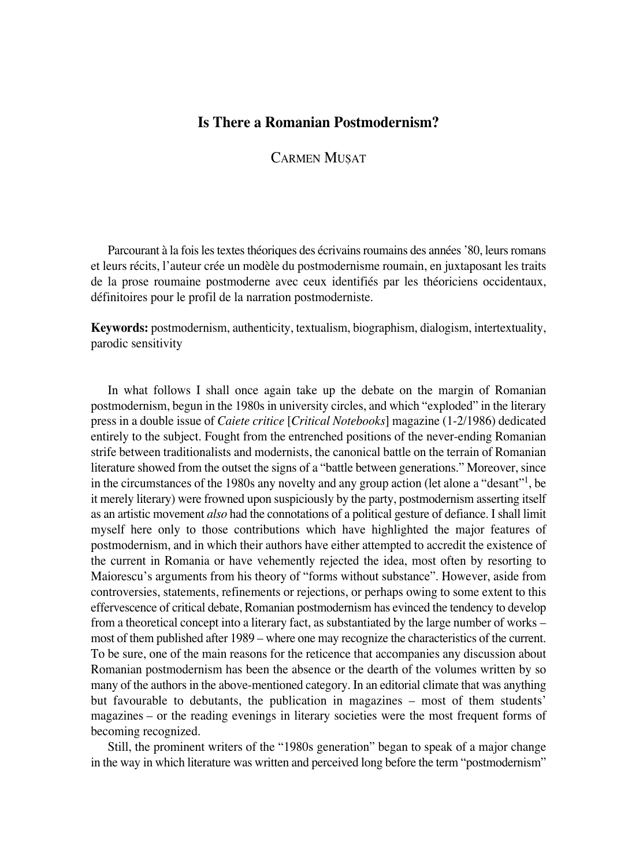## **Is There a Romanian Postmodernism?**

**CARMEN MUSAT** 

Parcourant à la fois les textes théoriques des écrivains roumains des années '80, leurs romans et leurs récits, l'auteur crée un modèle du postmodernisme roumain, en juxtaposant les traits de la prose roumaine postmoderne avec ceux identifiés par les théoriciens occidentaux, définitoires pour le profil de la narration postmoderniste.

**Keywords:** postmodernism, authenticity, textualism, biographism, dialogism, intertextuality, parodic sensitivity

In what follows I shall once again take up the debate on the margin of Romanian postmodernism, begun in the 1980s in university circles, and which "exploded" in the literary press in a double issue of *Caiete critice* [*Critical Notebooks*] magazine (1°2/1986) dedicated entirely to the subject. Fought from the entrenched positions of the never-ending Romanian strife between traditionalists and modernists, the canonical battle on the terrain of Romanian literature showed from the outset the signs of a "battle between generations." Moreover, since in the circumstances of the 1980s any novelty and any group action (let alone a "desant"<sup>1</sup>, be it merely literary) were frowned upon suspiciously by the party, postmodernism asserting itself as an artistic movement *also* had the connotations of a political gesture of defiance. I shall limit myself here only to those contributions which have highlighted the major features of postmodernism, and in which their authors have either attempted to accredit the existence of the current in Romania or have vehemently rejected the idea, most often by resorting to Maiorescu's arguments from his theory of "forms without substance". However, aside from controversies, statements, refinements or rejections, or perhaps owing to some extent to this effervescence of critical debate, Romanian postmodernism has evinced the tendency to develop from a theoretical concept into a literary fact, as substantiated by the large number of works – most of them published after 1989 – where one may recognize the characteristics of the current. To be sure, one of the main reasons for the reticence that accompanies any discussion about Romanian postmodernism has been the absence or the dearth of the volumes written by so many of the authors in the above-mentioned category. In an editorial climate that was anything but favourable to debutants, the publication in magazines – most of them students' magazines – or the reading evenings in literary societies were the most frequent forms of becoming recognized.

Still, the prominent writers of the "1980s generation" began to speak of a major change in the way in which literature was written and perceived long before the term "postmodernism"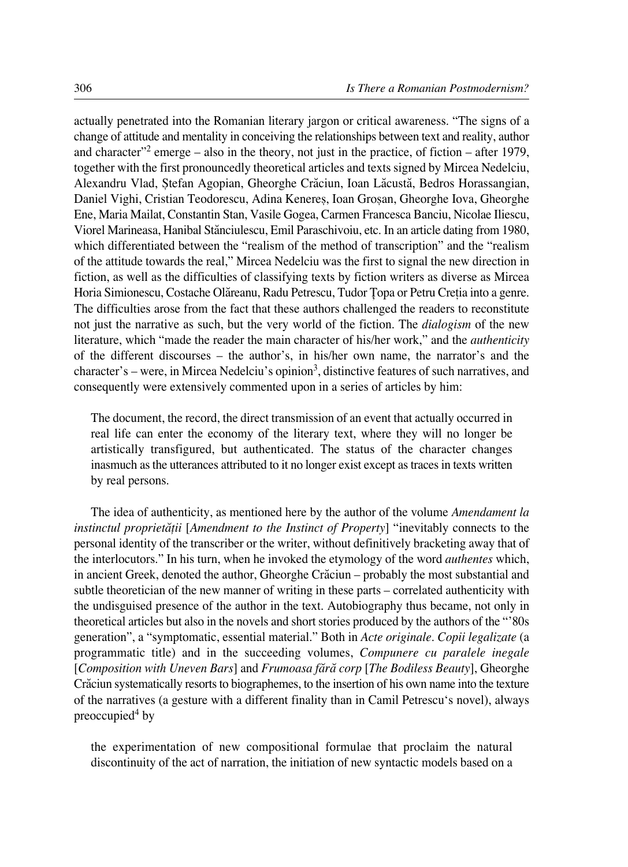actually penetrated into the Romanian literary jargon or critical awareness. "The signs of a change of attitude and mentality in conceiving the relationships between text and reality, author and character"<sup>2</sup> emerge – also in the theory, not just in the practice, of fiction – after 1979, together with the first pronouncedly theoretical articles and texts signed by Mircea Nedelciu, Alexandru Vlad, Stefan Agopian, Gheorghe Crăciun, Ioan Lăcustă, Bedros Horassangian, Daniel Vighi, Cristian Teodorescu, Adina Kenereş, Ioan Groșan, Gheorghe Iova, Gheorghe Ene, Maria Mailat, Constantin Stan, Vasile Gogea, Carmen Francesca Banciu, Nicolae Iliescu, Viorel Marineasa, Hanibal Stănciulescu, Emil Paraschivoiu, etc. In an article dating from 1980, which differentiated between the "realism of the method of transcription" and the "realism of the attitude towards the real," Mircea Nedelciu was the first to signal the new direction in fiction, as well as the difficulties of classifying texts by fiction writers as diverse as Mircea Horia Simionescu, Costache Olăreanu, Radu Petrescu, Tudor Topa or Petru Cretia into a genre. The difficulties arose from the fact that these authors challenged the readers to reconstitute not just the narrative as such, but the very world of the fiction. The *dialogism* of the new literature, which "made the reader the main character of his/her work," and the *authenticity* of the different discourses – the author's, in his/her own name, the narrator's and the character's – were, in Mircea Nedelciu's opinion3, distinctive features of such narratives, and consequently were extensively commented upon in a series of articles by him:

The document, the record, the direct transmission of an event that actually occurred in real life can enter the economy of the literary text, where they will no longer be artistically transfigured, but authenticated. The status of the character changes inasmuch as the utterances attributed to it no longer exist except as traces in texts written by real persons.

The idea of authenticity, as mentioned here by the author of the volume *Amendament la instinctul proprietæflii* [*Amendment to the Instinct of Property*] "inevitably connects to the personal identity of the transcriber or the writer, without definitively bracketing away that of the interlocutors." In his turn, when he invoked the etymology of the word *authentes* which, in ancient Greek, denoted the author, Gheorghe Crăciun – probably the most substantial and subtle theoretician of the new manner of writing in these parts – correlated authenticity with the undisguised presence of the author in the text. Autobiography thus became, not only in theoretical articles but also in the novels and short stories produced by the authors of the "'80s generation", a "symptomatic, essential material." Both in *Acte originale. Copii legalizate* (a programmatic title) and in the succeeding volumes, *Compunere cu paralele inegale* [*Composition with Uneven Bars*] and *Frumoasa færæ corp* [*The Bodiless Beauty*], Gheorghe Cræciun systematically resorts to biographemes, to the insertion of his own name into the texture of the narratives (a gesture with a different finality than in Camil Petrescu's novel), always preoccupied $4$  by

the experimentation of new compositional formulae that proclaim the natural discontinuity of the act of narration, the initiation of new syntactic models based on a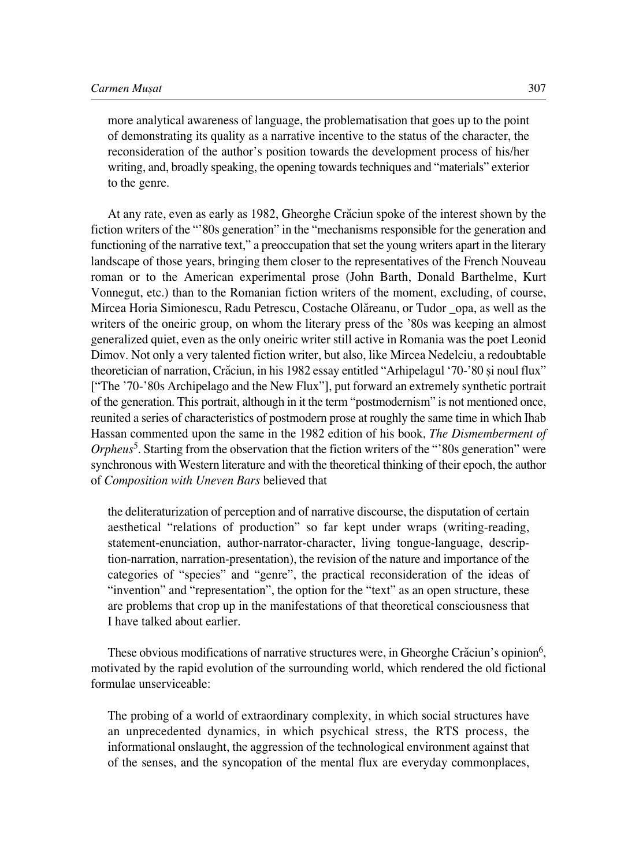more analytical awareness of language, the problematisation that goes up to the point of demonstrating its quality as a narrative incentive to the status of the character, the reconsideration of the author's position towards the development process of his/her writing, and, broadly speaking, the opening towards techniques and "materials" exterior to the genre.

At any rate, even as early as 1982, Gheorghe Crăciun spoke of the interest shown by the fiction writers of the "'80s generation" in the "mechanisms responsible for the generation and functioning of the narrative text," a preoccupation that set the young writers apart in the literary landscape of those years, bringing them closer to the representatives of the French Nouveau roman or to the American experimental prose (John Barth, Donald Barthelme, Kurt Vonnegut, etc.) than to the Romanian fiction writers of the moment, excluding, of course, Mircea Horia Simionescu, Radu Petrescu, Costache Olæreanu, or Tudor \_opa, as well as the writers of the oneiric group, on whom the literary press of the '80s was keeping an almost generalized quiet, even as the only oneiric writer still active in Romania was the poet Leonid Dimov. Not only a very talented fiction writer, but also, like Mircea Nedelciu, a redoubtable theoretician of narration, Cræciun, in his 1982 essay entitled "Arhipelagul '70°'80 øi noul flux" ["The '70-'80s Archipelago and the New Flux"], put forward an extremely synthetic portrait of the generation. This portrait, although in it the term "postmodernism" is not mentioned once, reunited a series of characteristics of postmodern prose at roughly the same time in which Ihab Hassan commented upon the same in the 1982 edition of his book, *The Dismemberment of Orpheus*<sup>5</sup>. Starting from the observation that the fiction writers of the "'80s generation" were synchronous with Western literature and with the theoretical thinking of their epoch, the author of *Composition with Uneven Bars* believed that

the deliteraturization of perception and of narrative discourse, the disputation of certain aesthetical "relations of production" so far kept under wraps (writing-reading, statement-enunciation, author-narrator-character, living tongue-language, description-narration, narration-presentation), the revision of the nature and importance of the categories of "species" and "genre", the practical reconsideration of the ideas of "invention" and "representation", the option for the "text" as an open structure, these are problems that crop up in the manifestations of that theoretical consciousness that I have talked about earlier.

These obvious modifications of narrative structures were, in Gheorghe Crăciun's opinion<sup>6</sup>, motivated by the rapid evolution of the surrounding world, which rendered the old fictional formulae unserviceable:

The probing of a world of extraordinary complexity, in which social structures have an unprecedented dynamics, in which psychical stress, the RTS process, the informational onslaught, the aggression of the technological environment against that of the senses, and the syncopation of the mental flux are everyday commonplaces,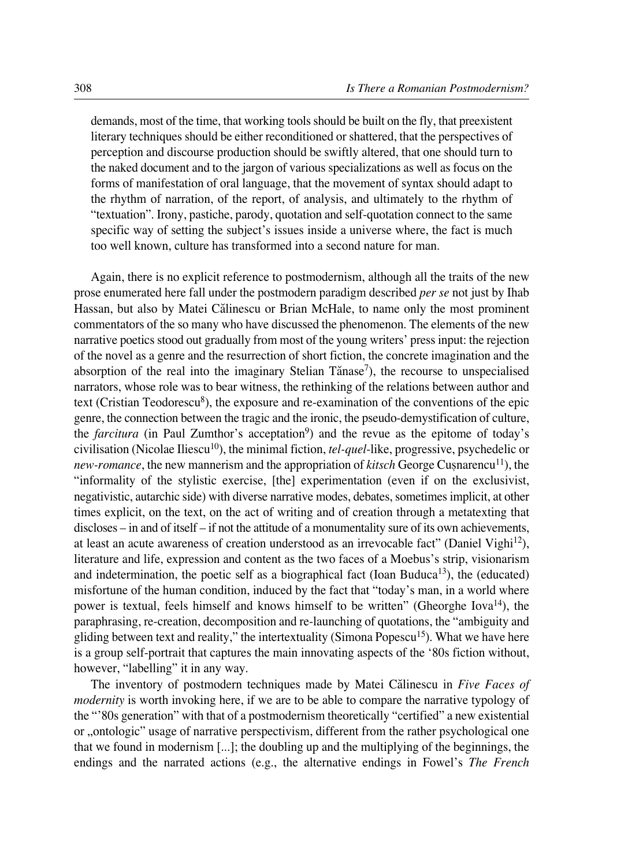demands, most of the time, that working tools should be built on the fly, that preexistent literary techniques should be either reconditioned or shattered, that the perspectives of perception and discourse production should be swiftly altered, that one should turn to the naked document and to the jargon of various specializations as well as focus on the forms of manifestation of oral language, that the movement of syntax should adapt to the rhythm of narration, of the report, of analysis, and ultimately to the rhythm of "textuation". Irony, pastiche, parody, quotation and self-quotation connect to the same specific way of setting the subject's issues inside a universe where, the fact is much too well known, culture has transformed into a second nature for man.

Again, there is no explicit reference to postmodernism, although all the traits of the new prose enumerated here fall under the postmodern paradigm described *per se* not just by Ihab Hassan, but also by Matei Călinescu or Brian McHale, to name only the most prominent commentators of the so many who have discussed the phenomenon. The elements of the new narrative poetics stood out gradually from most of the young writers' press input: the rejection of the novel as a genre and the resurrection of short fiction, the concrete imagination and the absorption of the real into the imaginary Stelian Tănase<sup>7</sup>), the recourse to unspecialised narrators, whose role was to bear witness, the rethinking of the relations between author and text (Cristian Teodorescu $\delta$ ), the exposure and re-examination of the conventions of the epic genre, the connection between the tragic and the ironic, the pseudo-demystification of culture, the *farcitura* (in Paul Zumthor's acceptation<sup>9</sup>) and the revue as the epitome of today's civilisation (Nicolae Iliescu<sup>10</sup>), the minimal fiction, *tel-quel*-like, progressive, psychedelic or *new-romance*, the new mannerism and the appropriation of *kitsch* George Cusnarencu<sup>11</sup>), the "informality of the stylistic exercise, [the] experimentation (even if on the exclusivist, negativistic, autarchic side) with diverse narrative modes, debates, sometimes implicit, at other times explicit, on the text, on the act of writing and of creation through a metatexting that discloses – in and of itself – if not the attitude of a monumentality sure of its own achievements, at least an acute awareness of creation understood as an irrevocable fact" (Daniel Vighi<sup>12</sup>), literature and life, expression and content as the two faces of a Moebus's strip, visionarism and indetermination, the poetic self as a biographical fact (Ioan Buduca<sup>13</sup>), the (educated) misfortune of the human condition, induced by the fact that "today's man, in a world where power is textual, feels himself and knows himself to be written" (Gheorghe Iova14), the paraphrasing, re-creation, decomposition and re-launching of quotations, the "ambiguity and gliding between text and reality," the intertextuality (Simona Popescu<sup>15</sup>). What we have here is a group self-portrait that captures the main innovating aspects of the '80s fiction without, however, "labelling" it in any way.

The inventory of postmodern techniques made by Matei Călinescu in *Five Faces of modernity* is worth invoking here, if we are to be able to compare the narrative typology of the "'80s generation" with that of a postmodernism theoretically "certified" a new existential or "ontologic" usage of narrative perspectivism, different from the rather psychological one that we found in modernism [...]; the doubling up and the multiplying of the beginnings, the endings and the narrated actions (e.g., the alternative endings in Fowel's *The French*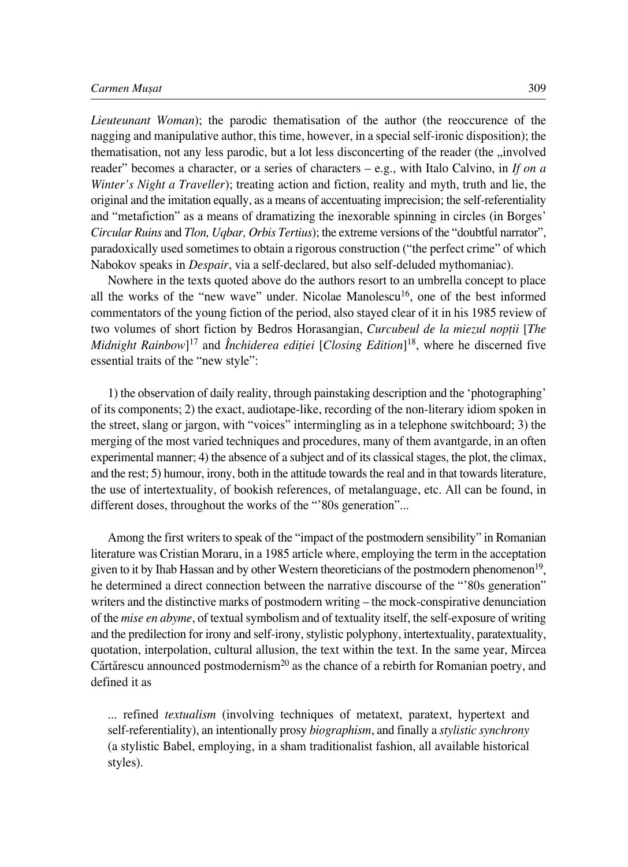## *Carmen Muøat* 309

*Lieuteunant Woman*); the parodic thematisation of the author (the reoccurence of the nagging and manipulative author, this time, however, in a special self-ironic disposition); the thematisation, not any less parodic, but a lot less disconcerting of the reader (the , involved reader" becomes a character, or a series of characters – e.g., with Italo Calvino, in *If on a Winter's Night a Traveller*); treating action and fiction, reality and myth, truth and lie, the original and the imitation equally, as a means of accentuating imprecision; the self°referentiality and "metafiction" as a means of dramatizing the inexorable spinning in circles (in Borges' *Circular Ruins* and *Tlon, Uqbar, Orbis Tertius*); the extreme versions of the "doubtful narrator", paradoxically used sometimes to obtain a rigorous construction ("the perfect crime" of which Nabokov speaks in *Despair*, via a self-declared, but also self-deluded mythomaniac).

Nowhere in the texts quoted above do the authors resort to an umbrella concept to place all the works of the "new wave" under. Nicolae Manolescu<sup>16</sup>, one of the best informed commentators of the young fiction of the period, also stayed clear of it in his 1985 review of two volumes of short fiction by Bedros Horasangian, *Curcubeul de la miezul nopflii* [*The Midnight Rainbow*]17 and *Închiderea edifliei* [*Closing Edition*]18, where he discerned five essential traits of the "new style":

1) the observation of daily reality, through painstaking description and the 'photographing' of its components; 2) the exact, audiotape-like, recording of the non-literary idiom spoken in the street, slang or jargon, with "voices" intermingling as in a telephone switchboard; 3) the merging of the most varied techniques and procedures, many of them avantgarde, in an often experimental manner; 4) the absence of a subject and of its classical stages, the plot, the climax, and the rest; 5) humour, irony, both in the attitude towards the real and in that towards literature, the use of intertextuality, of bookish references, of metalanguage, etc. All can be found, in different doses, throughout the works of the "'80s generation"...

Among the first writers to speak of the "impact of the postmodern sensibility" in Romanian literature was Cristian Moraru, in a 1985 article where, employing the term in the acceptation given to it by Ihab Hassan and by other Western theoreticians of the postmodern phenomenon19, he determined a direct connection between the narrative discourse of the "'80s generation" writers and the distinctive marks of postmodern writing – the mock-conspirative denunciation of the *mise en abyme*, of textual symbolism and of textuality itself, the self-exposure of writing and the predilection for irony and self-irony, stylistic polyphony, intertextuality, paratextuality, quotation, interpolation, cultural allusion, the text within the text. In the same year, Mircea Cărtărescu announced postmodernism<sup>20</sup> as the chance of a rebirth for Romanian poetry, and defined it as

... refined *textualism* (involving techniques of metatext, paratext, hypertext and self°referentiality), an intentionally prosy *biographism*, and finally a *stylistic synchrony* (a stylistic Babel, employing, in a sham traditionalist fashion, all available historical styles).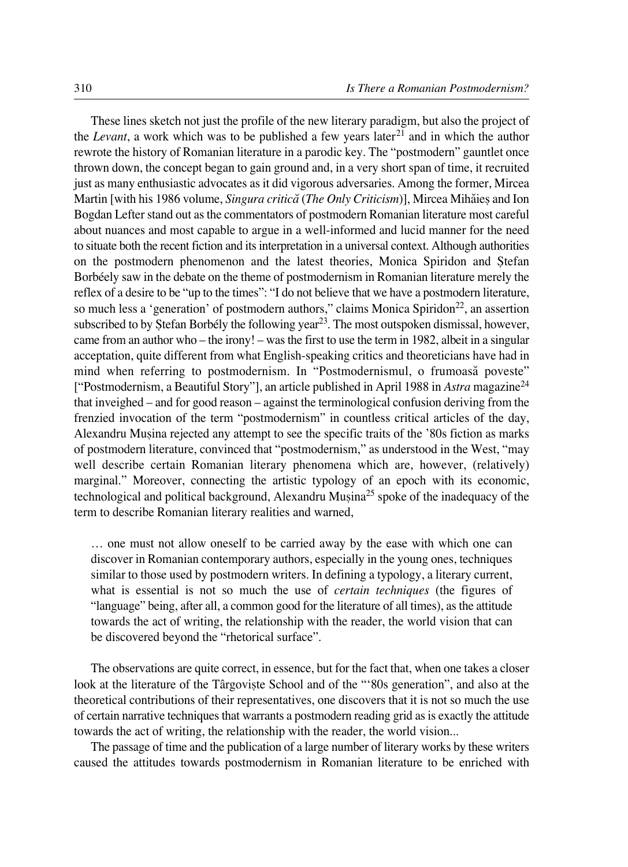These lines sketch not just the profile of the new literary paradigm, but also the project of the *Levant*, a work which was to be published a few years  $\arctan{2}$  and in which the author rewrote the history of Romanian literature in a parodic key. The "postmodern" gauntlet once thrown down, the concept began to gain ground and, in a very short span of time, it recruited just as many enthusiastic advocates as it did vigorous adversaries. Among the former, Mircea Martin [with his 1986 volume, *Singura criticæ* (*The Only Criticism*)], Mircea Mihæieø and Ion Bogdan Lefter stand out as the commentators of postmodern Romanian literature most careful about nuances and most capable to argue in a well-informed and lucid manner for the need to situate both the recent fiction and its interpretation in a universal context. Although authorities on the postmodern phenomenon and the latest theories, Monica Spiridon and Stefan Borbéely saw in the debate on the theme of postmodernism in Romanian literature merely the reflex of a desire to be "up to the times": "I do not believe that we have a postmodern literature, so much less a 'generation' of postmodern authors," claims Monica Spiridon<sup>22</sup>, an assertion subscribed to by Stefan Borbély the following year<sup>23</sup>. The most outspoken dismissal, however, came from an author who – the irony! – was the first to use the term in 1982, albeit in a singular acceptation, quite different from what English-speaking critics and theoreticians have had in mind when referring to postmodernism. In "Postmodernismul, o frumoasă poveste" ["Postmodernism, a Beautiful Story"], an article published in April 1988 in *Astra* magazine24 that inveighed – and for good reason – against the terminological confusion deriving from the frenzied invocation of the term "postmodernism" in countless critical articles of the day, Alexandru Muøina rejected any attempt to see the specific traits of the '80s fiction as marks of postmodern literature, convinced that "postmodernism," as understood in the West, "may well describe certain Romanian literary phenomena which are, however, (relatively) marginal." Moreover, connecting the artistic typology of an epoch with its economic, technological and political background, Alexandru Musina<sup>25</sup> spoke of the inadequacy of the term to describe Romanian literary realities and warned,

… one must not allow oneself to be carried away by the ease with which one can discover in Romanian contemporary authors, especially in the young ones, techniques similar to those used by postmodern writers. In defining a typology, a literary current, what is essential is not so much the use of *certain techniques* (the figures of "language" being, after all, a common good for the literature of all times), as the attitude towards the act of writing, the relationship with the reader, the world vision that can be discovered beyond the "rhetorical surface".

The observations are quite correct, in essence, but for the fact that, when one takes a closer look at the literature of the Târgoviște School and of the "'80s generation", and also at the theoretical contributions of their representatives, one discovers that it is not so much the use of certain narrative techniques that warrants a postmodern reading grid as is exactly the attitude towards the act of writing, the relationship with the reader, the world vision...

The passage of time and the publication of a large number of literary works by these writers caused the attitudes towards postmodernism in Romanian literature to be enriched with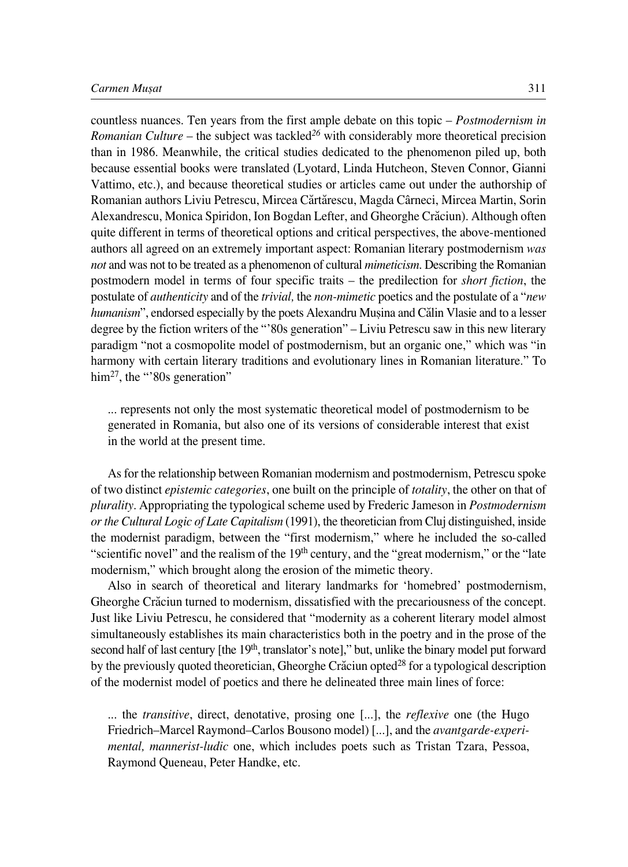countless nuances. Ten years from the first ample debate on this topic – *Postmodernism in Romanian Culture* – the subject was tackled*<sup>26</sup>* with considerably more theoretical precision than in 1986. Meanwhile, the critical studies dedicated to the phenomenon piled up, both because essential books were translated (Lyotard, Linda Hutcheon, Steven Connor, Gianni Vattimo, etc.), and because theoretical studies or articles came out under the authorship of Romanian authors Liviu Petrescu, Mircea Cærtærescu, Magda Cârneci, Mircea Martin, Sorin Alexandrescu, Monica Spiridon, Ion Bogdan Lefter, and Gheorghe Cræciun). Although often quite different in terms of theoretical options and critical perspectives, the above-mentioned authors all agreed on an extremely important aspect: Romanian literary postmodernism *was not* and was not to be treated as a phenomenon of cultural *mimeticism*. Describing the Romanian postmodern model in terms of four specific traits – the predilection for *short fiction*, the postulate of *authenticity* and of the *trivial,* the *non°mimetic* poetics and the postulate of a "*new humanism*", endorsed especially by the poets Alexandru Musina and Călin Vlasie and to a lesser degree by the fiction writers of the "'80s generation" – Liviu Petrescu saw in this new literary paradigm "not a cosmopolite model of postmodernism, but an organic one," which was "in harmony with certain literary traditions and evolutionary lines in Romanian literature." To him<sup>27</sup>, the "'80s generation"

... represents not only the most systematic theoretical model of postmodernism to be generated in Romania, but also one of its versions of considerable interest that exist in the world at the present time.

As for the relationship between Romanian modernism and postmodernism, Petrescu spoke of two distinct *epistemic categories*, one built on the principle of *totality*, the other on that of *plurality*. Appropriating the typological scheme used by Frederic Jameson in *Postmodernism or the Cultural Logic of Late Capitalism* (1991), the theoretician from Cluj distinguished, inside the modernist paradigm, between the "first modernism," where he included the so-called "scientific novel" and the realism of the  $19<sup>th</sup>$  century, and the "great modernism," or the "late modernism," which brought along the erosion of the mimetic theory.

Also in search of theoretical and literary landmarks for 'homebred' postmodernism, Gheorghe Crăciun turned to modernism, dissatisfied with the precariousness of the concept. Just like Liviu Petrescu, he considered that "modernity as a coherent literary model almost simultaneously establishes its main characteristics both in the poetry and in the prose of the second half of last century [the 19<sup>th</sup>, translator's note]," but, unlike the binary model put forward by the previously quoted theoretician, Gheorghe Crăciun opted<sup>28</sup> for a typological description of the modernist model of poetics and there he delineated three main lines of force:

... the *transitive*, direct, denotative, prosing one [...], the *reflexive* one (the Hugo Friedrich–Marcel Raymond–Carlos Bousono model) [...], and the *avantgarde°experimental, mannerist-ludic* one, which includes poets such as Tristan Tzara, Pessoa, Raymond Queneau, Peter Handke, etc.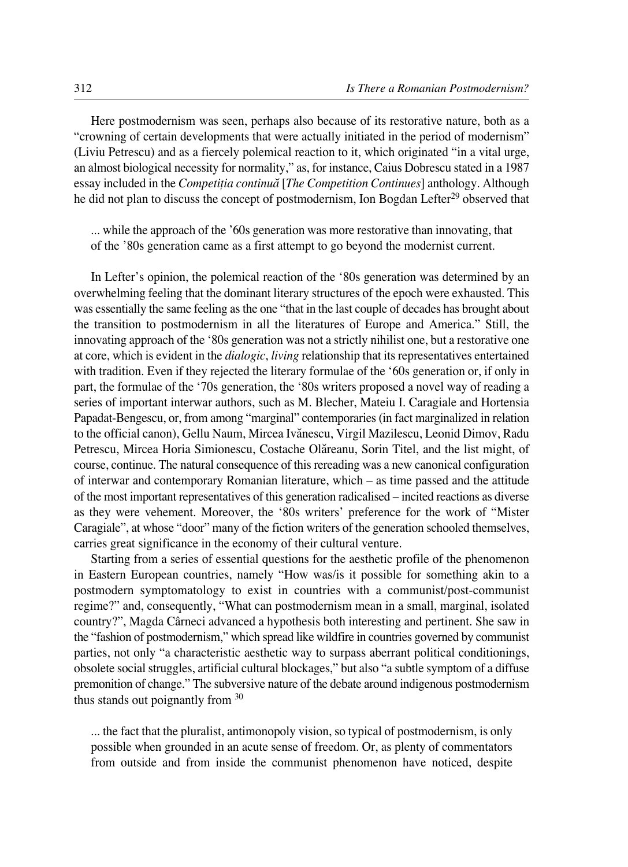Here postmodernism was seen, perhaps also because of its restorative nature, both as a "crowning of certain developments that were actually initiated in the period of modernism" (Liviu Petrescu) and as a fiercely polemical reaction to it, which originated "in a vital urge, an almost biological necessity for normality," as, for instance, Caius Dobrescu stated in a 1987 essay included in the *Competiflia continuæ* [*The Competition Continues*] anthology. Although he did not plan to discuss the concept of postmodernism, Ion Bogdan Lefter<sup>29</sup> observed that

... while the approach of the '60s generation was more restorative than innovating, that of the '80s generation came as a first attempt to go beyond the modernist current.

In Lefter's opinion, the polemical reaction of the '80s generation was determined by an overwhelming feeling that the dominant literary structures of the epoch were exhausted. This was essentially the same feeling as the one "that in the last couple of decades has brought about the transition to postmodernism in all the literatures of Europe and America." Still, the innovating approach of the '80s generation was not a strictly nihilist one, but a restorative one at core, which is evident in the *dialogic*, *living* relationship that its representatives entertained with tradition. Even if they rejected the literary formulae of the '60s generation or, if only in part, the formulae of the '70s generation, the '80s writers proposed a novel way of reading a series of important interwar authors, such as M. Blecher, Mateiu I. Caragiale and Hortensia Papadat-Bengescu, or, from among "marginal" contemporaries (in fact marginalized in relation to the official canon), Gellu Naum, Mircea Ivănescu, Virgil Mazilescu, Leonid Dimov, Radu Petrescu, Mircea Horia Simionescu, Costache Olăreanu, Sorin Titel, and the list might, of course, continue. The natural consequence of this rereading was a new canonical configuration of interwar and contemporary Romanian literature, which – as time passed and the attitude of the most important representatives of this generation radicalised – incited reactions as diverse as they were vehement. Moreover, the '80s writers' preference for the work of "Mister Caragiale", at whose "door" many of the fiction writers of the generation schooled themselves, carries great significance in the economy of their cultural venture.

Starting from a series of essential questions for the aesthetic profile of the phenomenon in Eastern European countries, namely "How was/is it possible for something akin to a postmodern symptomatology to exist in countries with a communist/post-communist regime?" and, consequently, "What can postmodernism mean in a small, marginal, isolated country?", Magda Cârneci advanced a hypothesis both interesting and pertinent. She saw in the "fashion of postmodernism," which spread like wildfire in countries governed by communist parties, not only "a characteristic aesthetic way to surpass aberrant political conditionings, obsolete social struggles, artificial cultural blockages," but also "a subtle symptom of a diffuse premonition of change." The subversive nature of the debate around indigenous postmodernism thus stands out poignantly from 30

... the fact that the pluralist, antimonopoly vision, so typical of postmodernism, is only possible when grounded in an acute sense of freedom. Or, as plenty of commentators from outside and from inside the communist phenomenon have noticed, despite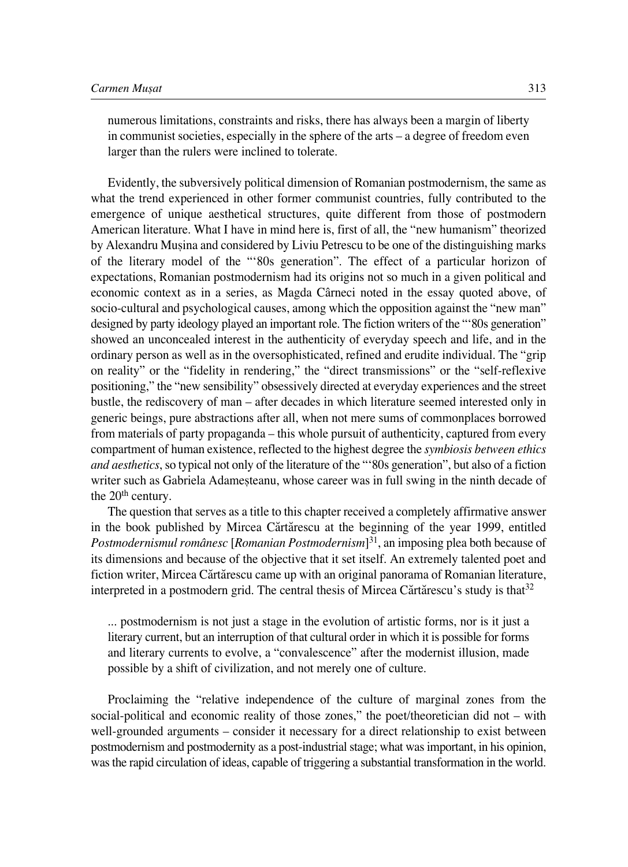numerous limitations, constraints and risks, there has always been a margin of liberty in communist societies, especially in the sphere of the arts – a degree of freedom even larger than the rulers were inclined to tolerate.

Evidently, the subversively political dimension of Romanian postmodernism, the same as what the trend experienced in other former communist countries, fully contributed to the emergence of unique aesthetical structures, quite different from those of postmodern American literature. What I have in mind here is, first of all, the "new humanism" theorized by Alexandru Musina and considered by Liviu Petrescu to be one of the distinguishing marks of the literary model of the "'80s generation". The effect of a particular horizon of expectations, Romanian postmodernism had its origins not so much in a given political and economic context as in a series, as Magda Cârneci noted in the essay quoted above, of socio-cultural and psychological causes, among which the opposition against the "new man" designed by party ideology played an important role. The fiction writers of the "'80s generation" showed an unconcealed interest in the authenticity of everyday speech and life, and in the ordinary person as well as in the oversophisticated, refined and erudite individual. The "grip on reality" or the "fidelity in rendering," the "direct transmissions" or the "self-reflexive positioning," the "new sensibility" obsessively directed at everyday experiences and the street bustle, the rediscovery of man – after decades in which literature seemed interested only in generic beings, pure abstractions after all, when not mere sums of commonplaces borrowed from materials of party propaganda – this whole pursuit of authenticity, captured from every compartment of human existence, reflected to the highest degree the *symbiosis between ethics and aesthetics*, so typical not only of the literature of the "'80s generation", but also of a fiction writer such as Gabriela Adamesteanu, whose career was in full swing in the ninth decade of the 20<sup>th</sup> century.

The question that serves as a title to this chapter received a completely affirmative answer in the book published by Mircea Cărtărescu at the beginning of the year 1999, entitled *Postmodernismul românesc* [*Romanian Postmodernism*] 31, an imposing plea both because of its dimensions and because of the objective that it set itself. An extremely talented poet and fiction writer, Mircea Cărtărescu came up with an original panorama of Romanian literature, interpreted in a postmodern grid. The central thesis of Mircea Cărtărescu's study is that<sup>32</sup>

... postmodernism is not just a stage in the evolution of artistic forms, nor is it just a literary current, but an interruption of that cultural order in which it is possible for forms and literary currents to evolve, a "convalescence" after the modernist illusion, made possible by a shift of civilization, and not merely one of culture.

Proclaiming the "relative independence of the culture of marginal zones from the social-political and economic reality of those zones," the poet/theoretician did not – with well-grounded arguments – consider it necessary for a direct relationship to exist between postmodernism and postmodernity as a post-industrial stage; what was important, in his opinion, was the rapid circulation of ideas, capable of triggering a substantial transformation in the world.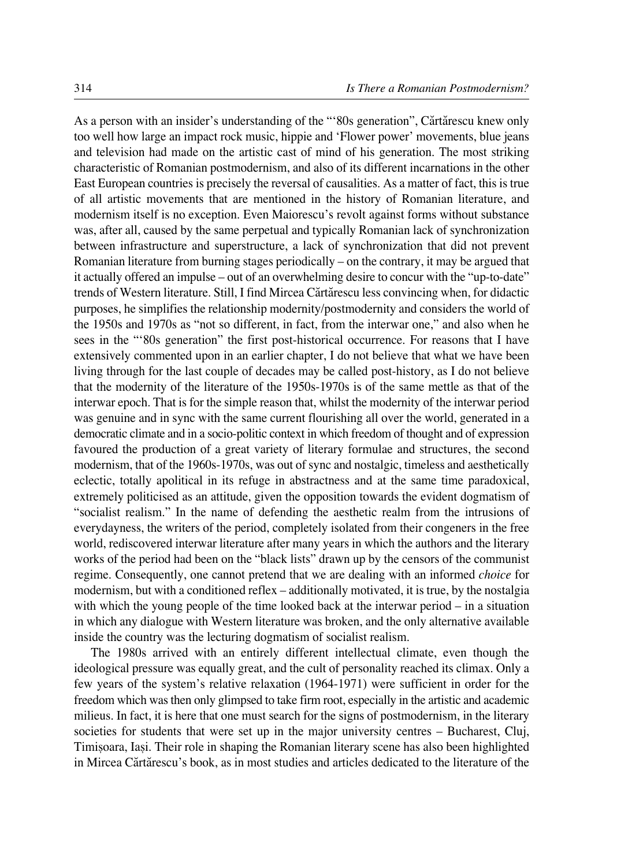As a person with an insider's understanding of the "'80s generation", Cărtărescu knew only too well how large an impact rock music, hippie and 'Flower power' movements, blue jeans and television had made on the artistic cast of mind of his generation. The most striking characteristic of Romanian postmodernism, and also of its different incarnations in the other East European countries is precisely the reversal of causalities. As a matter of fact, this is true of all artistic movements that are mentioned in the history of Romanian literature, and modernism itself is no exception. Even Maiorescu's revolt against forms without substance was, after all, caused by the same perpetual and typically Romanian lack of synchronization between infrastructure and superstructure, a lack of synchronization that did not prevent Romanian literature from burning stages periodically – on the contrary, it may be argued that it actually offered an impulse – out of an overwhelming desire to concur with the "up-to-date" trends of Western literature. Still, I find Mircea Cărtărescu less convincing when, for didactic purposes, he simplifies the relationship modernity/postmodernity and considers the world of the 1950s and 1970s as "not so different, in fact, from the interwar one," and also when he sees in the "'80s generation" the first post-historical occurrence. For reasons that I have extensively commented upon in an earlier chapter, I do not believe that what we have been living through for the last couple of decades may be called post-history, as I do not believe that the modernity of the literature of the 1950s-1970s is of the same mettle as that of the interwar epoch. That is for the simple reason that, whilst the modernity of the interwar period was genuine and in sync with the same current flourishing all over the world, generated in a democratic climate and in a socio-politic context in which freedom of thought and of expression favoured the production of a great variety of literary formulae and structures, the second modernism, that of the 1960s-1970s, was out of sync and nostalgic, timeless and aesthetically eclectic, totally apolitical in its refuge in abstractness and at the same time paradoxical, extremely politicised as an attitude, given the opposition towards the evident dogmatism of "socialist realism." In the name of defending the aesthetic realm from the intrusions of everydayness, the writers of the period, completely isolated from their congeners in the free world, rediscovered interwar literature after many years in which the authors and the literary works of the period had been on the "black lists" drawn up by the censors of the communist regime. Consequently, one cannot pretend that we are dealing with an informed *choice* for modernism, but with a conditioned reflex – additionally motivated, it is true, by the nostalgia with which the young people of the time looked back at the interwar period – in a situation in which any dialogue with Western literature was broken, and the only alternative available inside the country was the lecturing dogmatism of socialist realism.

The 1980s arrived with an entirely different intellectual climate, even though the ideological pressure was equally great, and the cult of personality reached its climax. Only a few years of the system's relative relaxation (1964-1971) were sufficient in order for the freedom which was then only glimpsed to take firm root, especially in the artistic and academic milieus. In fact, it is here that one must search for the signs of postmodernism, in the literary societies for students that were set up in the major university centres – Bucharest, Cluj, Timiøoara, Iaøi. Their role in shaping the Romanian literary scene has also been highlighted in Mircea Cærtærescu's book, as in most studies and articles dedicated to the literature of the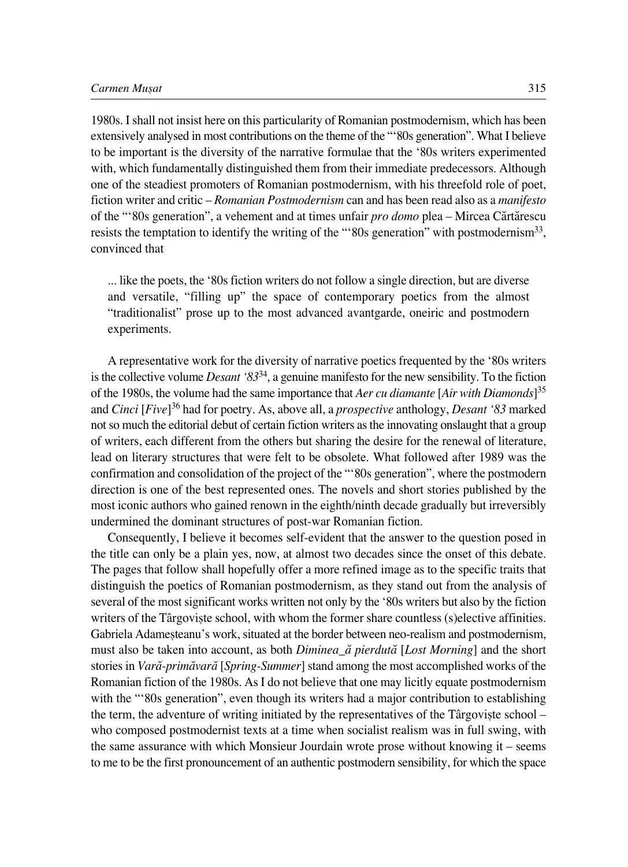1980s. I shall not insist here on this particularity of Romanian postmodernism, which has been extensively analysed in most contributions on the theme of the "'80s generation". What I believe to be important is the diversity of the narrative formulae that the '80s writers experimented with, which fundamentally distinguished them from their immediate predecessors. Although one of the steadiest promoters of Romanian postmodernism, with his threefold role of poet, fiction writer and critic – *Romanian Postmodernism* can and has been read also as a *manifesto* of the "'80s generation", a vehement and at times unfair *pro domo* plea – Mircea Cărtărescu resists the temptation to identify the writing of the "'80s generation" with postmodernism33, convinced that

... like the poets, the '80s fiction writers do not follow a single direction, but are diverse and versatile, "filling up" the space of contemporary poetics from the almost "traditionalist" prose up to the most advanced avantgarde, oneiric and postmodern experiments.

A representative work for the diversity of narrative poetics frequented by the '80s writers is the collective volume *Desant '83*34, a genuine manifesto for the new sensibility. To the fiction of the 1980s, the volume had the same importance that *Aer cu diamante* [*Air with Diamonds*] 35 and *Cinci* [*Five*]<sup>36</sup> had for poetry. As, above all, a *prospective* anthology, *Desant '83* marked not so much the editorial debut of certain fiction writers as the innovating onslaught that a group of writers, each different from the others but sharing the desire for the renewal of literature, lead on literary structures that were felt to be obsolete. What followed after 1989 was the confirmation and consolidation of the project of the "'80s generation", where the postmodern direction is one of the best represented ones. The novels and short stories published by the most iconic authors who gained renown in the eighth/ninth decade gradually but irreversibly undermined the dominant structures of post-war Romanian fiction.

Consequently, I believe it becomes self-evident that the answer to the question posed in the title can only be a plain yes, now, at almost two decades since the onset of this debate. The pages that follow shall hopefully offer a more refined image as to the specific traits that distinguish the poetics of Romanian postmodernism, as they stand out from the analysis of several of the most significant works written not only by the '80s writers but also by the fiction writers of the Târgoviste school, with whom the former share countless (s)elective affinities. Gabriela Adamesteanu's work, situated at the border between neo-realism and postmodernism, must also be taken into account, as both *Diminea\_æ pierdutæ* [*Lost Morning*] and the short stories in *Varæ°primævaræ* [*Spring°Summer*] stand among the most accomplished works of the Romanian fiction of the 1980s. As I do not believe that one may licitly equate postmodernism with the "'80s generation", even though its writers had a major contribution to establishing the term, the adventure of writing initiated by the representatives of the Târgoviste school – who composed postmodernist texts at a time when socialist realism was in full swing, with the same assurance with which Monsieur Jourdain wrote prose without knowing it – seems to me to be the first pronouncement of an authentic postmodern sensibility, for which the space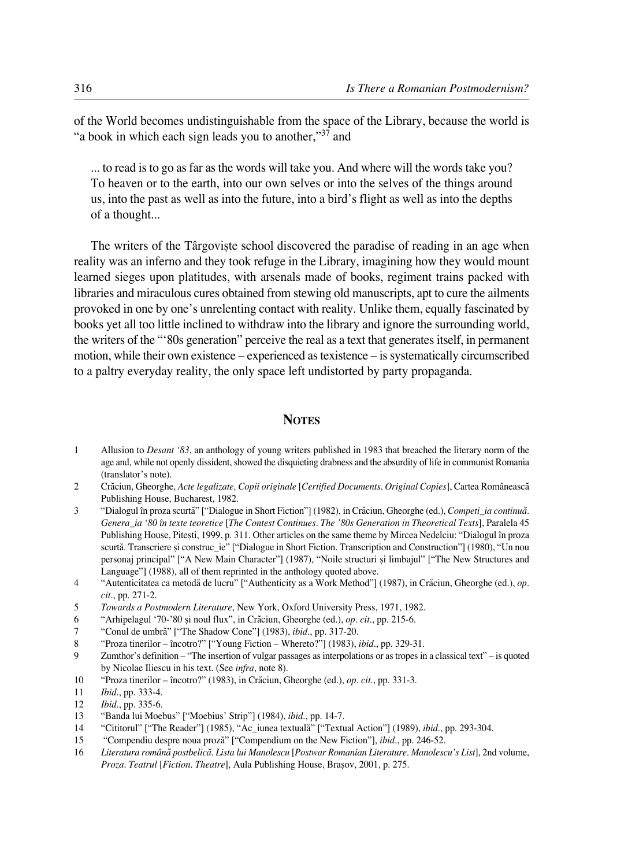of the World becomes undistinguishable from the space of the Library, because the world is "a book in which each sign leads you to another,"<sup>37</sup> and

... to read is to go as far as the words will take you. And where will the words take you? To heaven or to the earth, into our own selves or into the selves of the things around us, into the past as well as into the future, into a bird's flight as well as into the depths of a thought...

The writers of the Târgoviste school discovered the paradise of reading in an age when reality was an inferno and they took refuge in the Library, imagining how they would mount learned sieges upon platitudes, with arsenals made of books, regiment trains packed with libraries and miraculous cures obtained from stewing old manuscripts, apt to cure the ailments provoked in one by one's unrelenting contact with reality. Unlike them, equally fascinated by books yet all too little inclined to withdraw into the library and ignore the surrounding world, the writers of the "'80s generation" perceive the real as a text that generates itself, in permanent motion, while their own existence – experienced as texistence – is systematically circumscribed to a paltry everyday reality, the only space left undistorted by party propaganda.

## **NOTES**

- 1 Allusion to *Desant '83*, an anthology of young writers published in 1983 that breached the literary norm of the age and, while not openly dissident, showed the disquieting drabness and the absurdity of life in communist Romania (translator's note).
- 2 Cræciun, Gheorghe, *Acte legalizate, Copii originale* [*Certified Documents. Original Copies*], Cartea Româneascæ Publishing House, Bucharest, 1982.
- 3 "Dialogul în proza scurtæ" ["Dialogue in Short Fiction"] (1982), in Cræciun, Gheorghe (ed.), *Competi\_ia continuæ. Genera\_ia '80 în texte teoretice* [*The Contest Continues. The '80s Generation in Theoretical Texts*], Paralela 45 Publishing House, Pitești, 1999, p. 311. Other articles on the same theme by Mircea Nedelciu: "Dialogul în proza scurtă. Transcriere și construc\_ie" ["Dialogue in Short Fiction. Transcription and Construction"] (1980), "Un nou personaj principal" ["A New Main Character"] (1987), "Noile structuri și limbajul" ["The New Structures and Language"] (1988), all of them reprinted in the anthology quoted above.
- 4 "Autenticitatea ca metodæ de lucru" ["Authenticity as a Work Method"] (1987), in Cræciun, Gheorghe (ed.), *op. cit.*, pp. 271-2.
- 5 *Towards a Postmodern Literature*, New York, Oxford University Press, 1971, 1982.
- 6 "Arhipelagul '70°'80 øi noul flux", in Cræciun, Gheorghe (ed.), *op. cit.*, pp. 215°6.
- 7 "Conul de umbræ" ["The Shadow Cone"] (1983), *ibid*., pp. 317°20.
- 8 "Proza tinerilor încotro?" ["Young Fiction Whereto?"] (1983), *ibid.*, pp. 329-31.
- 9 Zumthor's definition "The insertion of vulgar passages as interpolations or as tropes in a classical text" is quoted by Nicolae Iliescu in his text. (See *infra*, note 8).
- 10 "Proza tinerilor încotro?" (1983), in Cræciun, Gheorghe (ed.), *op. cit.*, pp. 331°3.
- 11 *Ibid.*, pp. 333-4.
- 12 *Ibid.*, pp. 335-6.
- 13 "Banda lui Moebus" ["Moebius' Strip"] (1984), *ibid.*, pp. 14°7.
- 14 "Cititorul" ["The Reader"] (1985), "Ac\_iunea textuală" ["Textual Action"] (1989), *ibid.*, pp. 293-304.
- 15 "Compendiu despre noua prozæ" ["Compendium on the New Fiction"], *ibid.*, pp. 246°52.
- 16 *Literatura românæ postbelicæ. Lista lui Manolescu* [*Postwar Romanian Literature. Manolescu's List*], 2nd volume, *Proza. Teatrul* [*Fiction. Theatre*], Aula Publishing House, Braøov, 2001, p. 275.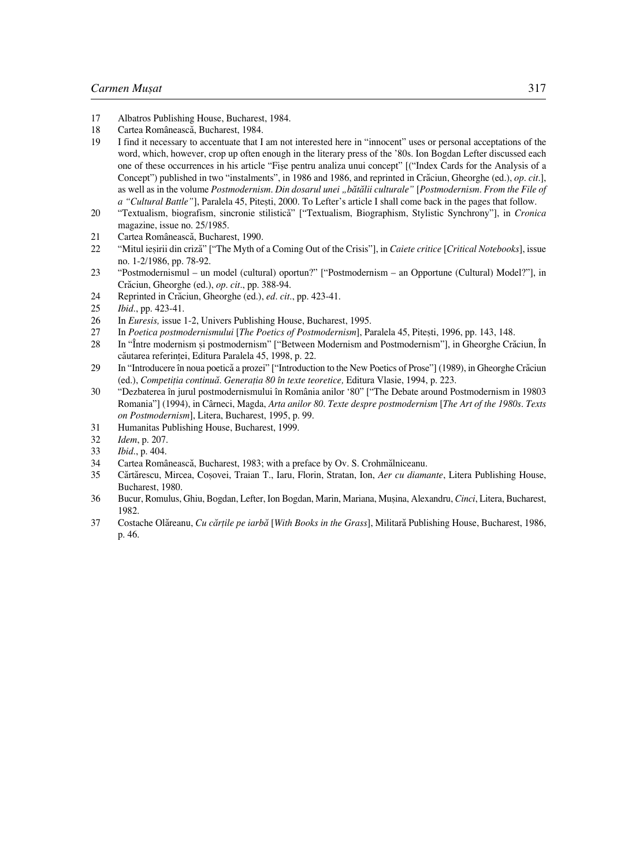- 17 Albatros Publishing House, Bucharest, 1984.<br>18 Cartea Românească Bucharest, 1984.
- Cartea Românească, Bucharest, 1984.
- 19 I find it necessary to accentuate that I am not interested here in "innocent" uses or personal acceptations of the word, which, however, crop up often enough in the literary press of the '80s. Ion Bogdan Lefter discussed each one of these occurrences in his article "Fiøe pentru analiza unui concept" [("Index Cards for the Analysis of a Concept") published in two "instalments", in 1986 and 1986, and reprinted in Cræciun, Gheorghe (ed.), *op. cit*.], as well as in the volume *Postmodernism. Din dosarul unei "bætælii culturale"* [*Postmodernism. From the File of a "Cultural Battle"*], Paralela 45, Pitești, 2000. To Lefter's article I shall come back in the pages that follow.
- 20 "Textualism, biografism, sincronie stilisticæ" ["Textualism, Biographism, Stylistic Synchrony"], in *Cronica* magazine, issue no. 25/1985.
- 21 Cartea Românească, Bucharest, 1990.
- 22 "Mitul ieøirii din crizæ" ["The Myth of a Coming Out of the Crisis"], in *Caiete critice* [*Critical Notebooks*], issue no. 1-2/1986, pp. 78-92.
- 23 "Postmodernismul un model (cultural) oportun?" ["Postmodernism an Opportune (Cultural) Model?"], in Cræciun, Gheorghe (ed.), *op. cit.*, pp. 388°94.
- 24 Reprinted in Crăciun, Gheorghe (ed.), *ed. cit.*, pp. 423-41.
- 25 *Ibid.*, pp. 423-41.
- 26 In *Euresis*, issue 1-2, Univers Publishing House, Bucharest, 1995.
- 27 In *Poetica postmodernismului* [*The Poetics of Postmodernism*], Paralela 45, Piteøti, 1996, pp. 143, 148.
- 28 In "Între modernism și postmodernism" ["Between Modernism and Postmodernism"], in Gheorghe Crăciun, În căutarea referintei, Editura Paralela 45, 1998, p. 22.
- 29 In "Introducere în noua poeticæ a prozei" ["Introduction to the New Poetics of Prose"] (1989), in Gheorghe Cræciun (ed.), *Competiflia continuæ. Generaflia 80 în texte teoretice,* Editura Vlasie, 1994, p. 223.
- 30 "Dezbaterea în jurul postmodernismului în România anilor '80" ["The Debate around Postmodernism in 19803 Romania"] (1994), in Cârneci, Magda, *Arta anilor 80. Texte despre postmodernism* [*The Art of the 1980s. Texts on Postmodernism*], Litera, Bucharest, 1995, p. 99.
- 31 Humanitas Publishing House, Bucharest, 1999.
- 32 *Idem*, p. 207.
- 33 *Ibid.*, p. 404.
- 34 Cartea Românească, Bucharest, 1983; with a preface by Ov. S. Crohmălniceanu.
- 35 Cærtærescu, Mircea, Coøovei, Traian T., Iaru, Florin, Stratan, Ion, *Aer cu diamante*, Litera Publishing House, Bucharest, 1980.
- 36 Bucur, Romulus, Ghiu, Bogdan, Lefter, Ion Bogdan, Marin, Mariana, Muøina, Alexandru, *Cinci*, Litera, Bucharest, 1982.
- 37 Costache Olæreanu, *Cu cærflile pe iarbæ* [*With Books in the Grass*], Militaræ Publishing House, Bucharest, 1986, p. 46.